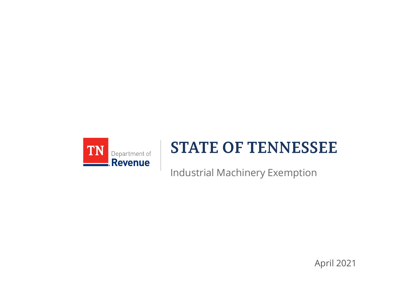

#### **STATE OF TENNESSEE**

Industrial Machinery Exemption

April 2021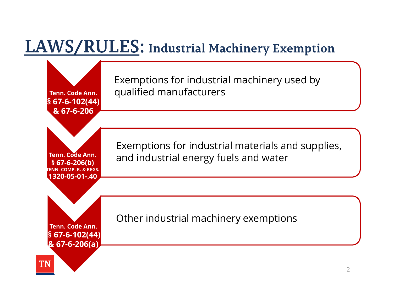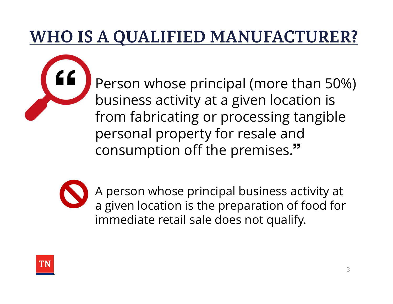#### **WHO IS A QUALIFIED MANUFACTURER?**

Person whose principal (more than 50%) business activity at a given location is from fabricating or processing tangible personal property for resale and consumption off the premises.



A person whose principal business activity at a given location is the preparation of food for immediate retail sale does not qualify.

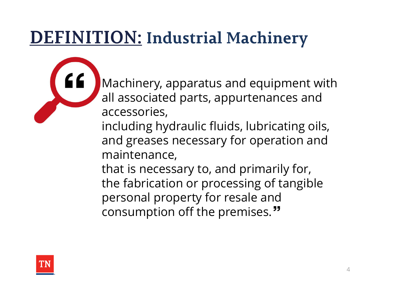### **DEFINITION: Industrial Machinery**

Machinery, apparatus and equipment with all associated parts, appurtenances and accessories, including hydraulic fluids, lubricating oils,

and greases necessary for operation and maintenance,

that is necessary to, and primarily for, the fabrication or processing of tangible personal property for resale and consumption off the premises."

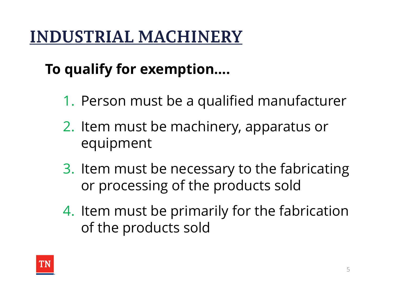#### **INDUSTRIAL MACHINERY**

#### To qualify for exemption….

- 1. Person must be a qualified manufacturer
- 2. Item must be machinery, apparatus or equipment
- 3. Item must be necessary to the fabricating or processing of the products sold
- 4. Item must be primarily for the fabrication of the products sold

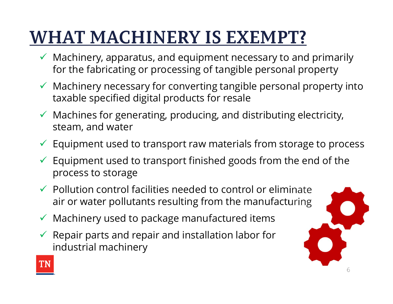## **WHAT MACHINERY IS EXEMPT?**

- $\checkmark$  Machinery, apparatus, and equipment necessary to and primarily for the fabricating or processing of tangible personal property
- $\checkmark$  Machinery necessary for converting tangible personal property into taxable specified digital products for resale
- $\checkmark$  Machines for generating, producing, and distributing electricity, steam, and water
- $\checkmark$  Equipment used to transport raw materials from storage to process
- $\checkmark$  Equipment used to transport finished goods from the end of the process to storage
- $\checkmark$  Pollution control facilities needed to control or eliminate air or water pollutants resulting from the manufacturing
- $\checkmark$  Machinery used to package manufactured items
- $\checkmark$  Repair parts and repair and installation labor for industrial machinery



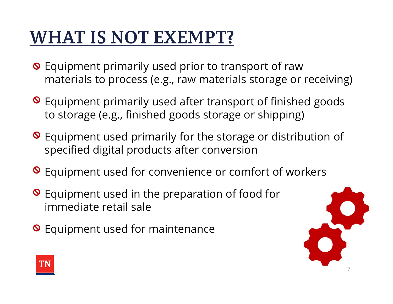### **WHAT IS NOT EXEMPT?**

- **O** Equipment primarily used prior to transport of raw materials to process (e.g., raw materials storage or receiving)
- **O** Equipment primarily used after transport of finished goods to storage (e.g., finished goods storage or shipping)
- **O** Equipment used primarily for the storage or distribution of specified digital products after conversion
- **O** Equipment used for convenience or comfort of workers
- **O** Equipment used in the preparation of food for immediate retail sale
- **O** Equipment used for maintenance



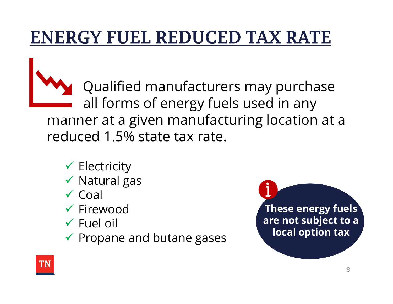## **ENERGY FUEL REDUCED TAX RATE**

Qualified manufacturers may purchase all forms of energy fuels used in any manner at a given manufacturing location at a reduced 1.5% state tax rate.

- $\checkmark$  Electricity
- $\checkmark$  Natural gas
- $\checkmark$  Coal
- $\checkmark$  Firewood
- $\checkmark$  Fuel oil
- $\checkmark$  Propane and butane gases



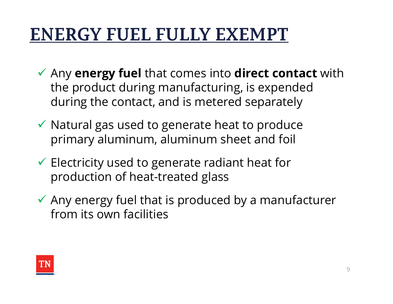# **ENERGY FUEL FULLY EXEMPT**

- $\checkmark$  Any energy fuel that comes into direct contact with the product during manufacturing, is expended during the contact, and is metered separately
- $\checkmark$  Natural gas used to generate heat to produce primary aluminum, aluminum sheet and foil
- $\checkmark$  Electricity used to generate radiant heat for production of heat-treated glass
- $\checkmark$  Any energy fuel that is produced by a manufacturer from its own facilities

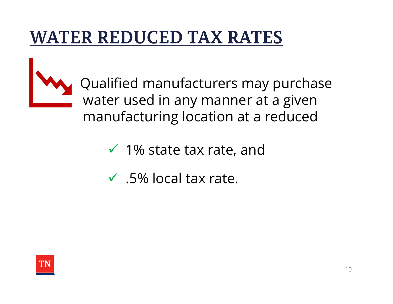#### **WATER REDUCED TAX RATES**



Qualified manufacturers may purchase water used in any manner at a given manufacturing location at a reduced

- $\checkmark$  1% state tax rate, and
- $\checkmark$  .5% local tax rate.

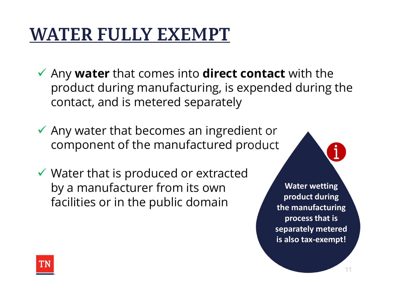## **WATER FULLY EXEMPT**

- $\checkmark$  Any water that comes into direct contact with the product during manufacturing, is expended during the contact, and is metered separately
- $\checkmark$  Any water that becomes an ingredient or component of the manufactured product
- $\checkmark$  Water that is produced or extracted by a manufacturer from its own facilities or in the public domain

Water wetting product during the manufacturing process that is separately metered is also tax-exempt!

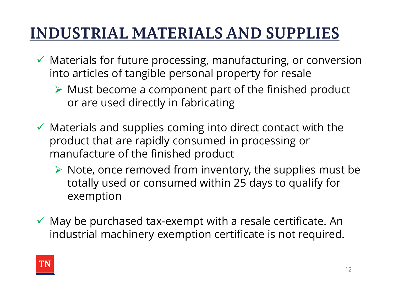#### **INDUSTRIAL MATERIALS AND SUPPLIES**

- $\checkmark$  Materials for future processing, manufacturing, or conversion into articles of tangible personal property for resale
	- $\triangleright$  Must become a component part of the finished product or are used directly in fabricating
- $\checkmark$  Materials and supplies coming into direct contact with the product that are rapidly consumed in processing or manufacture of the finished product
	- $\triangleright$  Note, once removed from inventory, the supplies must be totally used or consumed within 25 days to qualify for exemption
- $\checkmark$  May be purchased tax-exempt with a resale certificate. An industrial machinery exemption certificate is not required.

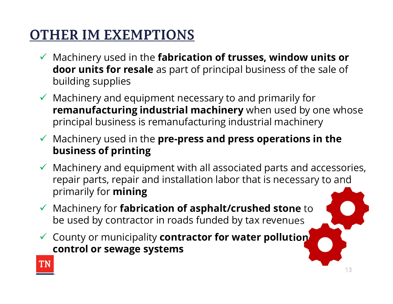#### **OTHER IM EXEMPTIONS**

- $\checkmark$  Machinery used in the fabrication of trusses, window units or door units for resale as part of principal business of the sale of building supplies
- $\checkmark$  Machinery and equipment necessary to and primarily for remanufacturing industrial machinery when used by one whose principal business is remanufacturing industrial machinery
- $\checkmark$  Machinery used in the pre-press and press operations in the business of printing
- $\checkmark$  Machinery and equipment with all associated parts and accessories, repair parts, repair and installation labor that is necessary to and primarily for mining
- $\checkmark$  Machinery for fabrication of asphalt/crushed stone to be used by contractor in roads funded by tax revenues
- $\checkmark$  County or municipality contractor for water pollution control or sewage systems

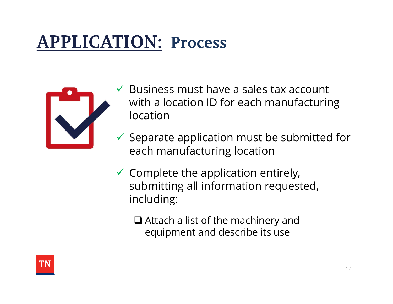# **APPLICATION: Process**



- Business must have a sales tax account with a location ID for each manufacturing location
- $\checkmark$  Separate application must be submitted for each manufacturing location
- $\checkmark$  Complete the application entirely, submitting all information requested, including:
	- $\Box$  Attach a list of the machinery and equipment and describe its use

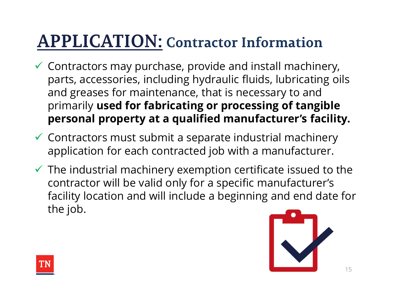### **APPLICATION: Contractor Information**

- $\checkmark$  Contractors may purchase, provide and install machinery, parts, accessories, including hydraulic fluids, lubricating oils and greases for maintenance, that is necessary to and primarily used for fabricating or processing of tangible personal property at a qualified manufacturer's facility.
- $\checkmark$  Contractors must submit a separate industrial machinery application for each contracted job with a manufacturer.
- $\checkmark$  The industrial machinery exemption certificate issued to the contractor will be valid only for a specific manufacturer's facility location and will include a beginning and end date for the job.



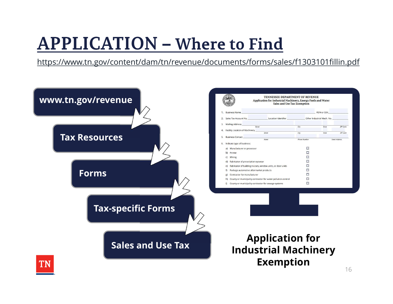### **APPLICATION - Where to Find**

https://www.tn.gov/content/dam/tn/revenue/documents/forms/sales/f1303101fillin.pdf

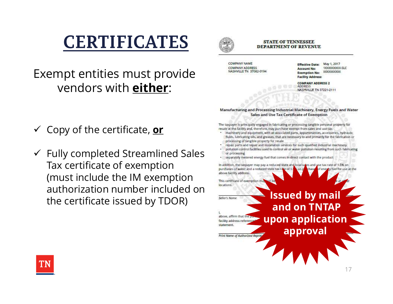#### **CERTIFICATES**

Exempt entities must provide **Exempt** and RESERVALDERESS vendors with either:

- The taxpayer is principally engaged in fabricating or processing tangible personal property for<br>
Copy of the certificate  $\sum_{\text{mean}}$  or the facility and, therefore, may purchase exempt from sales and use tax:<br>
That the faci
- $\checkmark$  Fully completed Streamlined Sales entrol facilities used to control air or water politician resulting from such fabricating Tax certificate of exemption the taxpayer may pay a reduced state and local saves and section at the of 1.5% on (must include the IM exemption and the secreticate of exemption n authorization number included on the certificate issued by TDOR) **Intervention of the certificate** issued by mail



#### **STATE OF TENNESSEE DEPARTMENT OF REVENUE**

**COMPANY NAME** 

May 1, 2017 **Effective Date: Account No:** 1XXXXXXXX-SLC XXXXXXXXXXX **Exemption No: Facility Address:** 

**COMPANY ADDRESS 2 ADDRESS NASHVILLE TN 37221-2111** 

#### Manufacturing and Processing Industrial Machinery, Energy Fuels and Water Sales and Use Tax Certificate of Exemption

- processing of tangible property for resale
- repair parts and repair and installation services for such qualified industrial machinery
- 
- 

statement

and on TNTAP above, affirm that the upon application facility address reference approval

Print Name of Authorized Repres

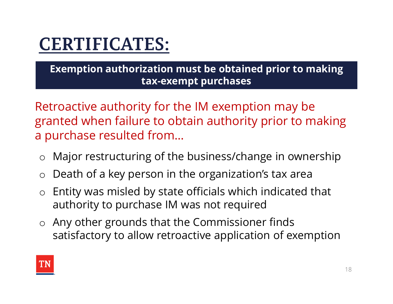#### **CERTIFICATES:**

Exemption authorization must be obtained prior to making tax-exempt purchases

Retroactive authority for the IM exemption may be granted when failure to obtain authority prior to making a purchase resulted from…

- o Major restructuring of the business/change in ownership
- $\circ$  Death of a key person in the organization's tax area
- o Entity was misled by state officials which indicated that authority to purchase IM was not required
- o Any other grounds that the Commissioner finds satisfactory to allow retroactive application of exemption

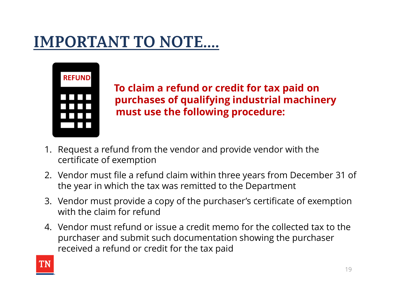

To claim a refund or credit for tax paid on purchases of qualifying industrial machinery must use the following procedure: **1. Refund Follows**<br> **1. Request a refund from the vendor and provide vendor with the certificate of exemption**<br> **1. Request a refund from the vendor and provide vendor with the certificate of exemption**<br> **2. Vendor must f EXECUIDE 18. THE SECUTE 12. Vendor must use the following procedure:**<br> **2.** Request a refund from the vendor and provide vendor with the certificate of exemption<br>
2. Vendor must file a refund claim within three years from **3.** Vendor must use the following procedure:<br>3. Vendor must use the following procedure:<br>3. Vendor must file a refund claim within three years from December 31 of<br>3. Vendor must file a refund claim within three years from

- certificate of exemption
- the year in which the tax was remitted to the Department
- with the claim for refund
- must use the following procedure:<br>
1. Request a refund from the vendor and provide vendor with the<br>
certificate of exemption<br>
2. Vendor must file a refund claim within three years from December 31 of<br>
1. Vendor must file a purchaser and submit such documentation showing the purchaser received a refund or credit for the tax paid